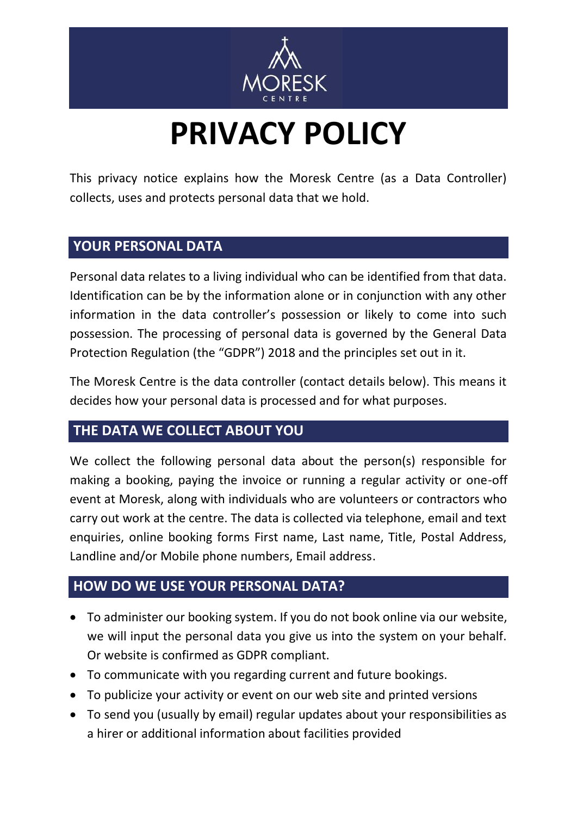

## **PRIVACY POLICY**

This privacy notice explains how the Moresk Centre (as a Data Controller) collects, uses and protects personal data that we hold.

## **YOUR PERSONAL DATA**

Personal data relates to a living individual who can be identified from that data. Identification can be by the information alone or in conjunction with any other information in the data controller's possession or likely to come into such possession. The processing of personal data is governed by the General Data Protection Regulation (the "GDPR") 2018 and the principles set out in it.

The Moresk Centre is the data controller (contact details below). This means it decides how your personal data is processed and for what purposes.

## **THE DATA WE COLLECT ABOUT YOU**

We collect the following personal data about the person(s) responsible for making a booking, paying the invoice or running a regular activity or one-off event at Moresk, along with individuals who are volunteers or contractors who carry out work at the centre. The data is collected via telephone, email and text enquiries, online booking forms First name, Last name, Title, Postal Address, Landline and/or Mobile phone numbers, Email address.

## **HOW DO WE USE YOUR PERSONAL DATA?**

- To administer our booking system. If you do not book online via our website, we will input the personal data you give us into the system on your behalf. Or website is confirmed as GDPR compliant.
- To communicate with you regarding current and future bookings.
- To publicize your activity or event on our web site and printed versions
- To send you (usually by email) regular updates about your responsibilities as a hirer or additional information about facilities provided